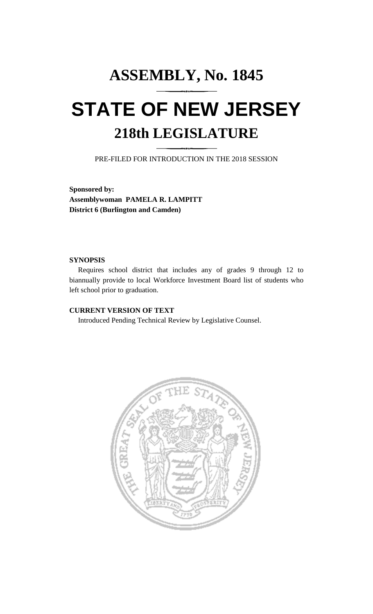# **ASSEMBLY, No. 1845 STATE OF NEW JERSEY 218th LEGISLATURE**

PRE-FILED FOR INTRODUCTION IN THE 2018 SESSION

**Sponsored by: Assemblywoman PAMELA R. LAMPITT District 6 (Burlington and Camden)**

#### **SYNOPSIS**

Requires school district that includes any of grades 9 through 12 to biannually provide to local Workforce Investment Board list of students who left school prior to graduation.

## **CURRENT VERSION OF TEXT**

Introduced Pending Technical Review by Legislative Counsel.